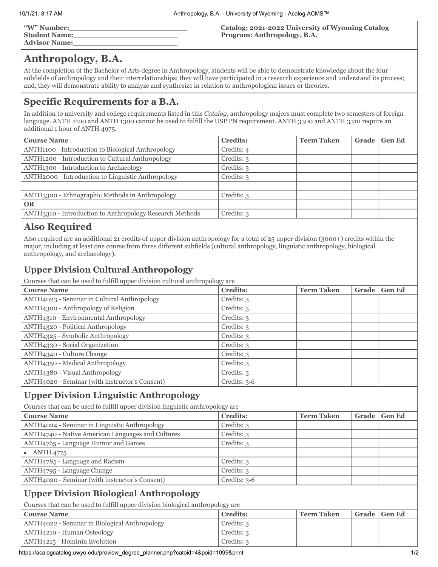| "W" Number:          |  |
|----------------------|--|
| <b>Student Name:</b> |  |
| <b>Advisor Name:</b> |  |

**Catalog: 2021-2022 University of Wyoming Catalog Program: Anthropology, B.A.**

### **Anthropology, B.A.**

At the completion of the Bachelor of Arts degree in Anthropology, students will be able to demonstrate knowledge about the four subfields of anthropology and their interrelationships; they will have participated in a research experience and understand its process; and, they will demonstrate ability to analyze and synthesize in relation to anthropological issues or theories.

### **Specific Requirements for a B.A.**

In addition to university and college requirements listed in this *Catalog*, anthropology majors must complete two semesters of foreign language. ANTH 1100 and ANTH 1300 cannot be used to fulfill the USP PN requirement. ANTH 3300 and ANTH 3310 require an additional 1 hour of ANTH 4975.

| <b>Course Name</b>                                       | <b>Credits:</b> | <b>Term Taken</b> | Grade | <b>Gen Ed</b> |
|----------------------------------------------------------|-----------------|-------------------|-------|---------------|
| ANTH1100 - Introduction to Biological Anthropology       | Credits: 4      |                   |       |               |
| ANTH1200 - Introduction to Cultural Anthropology         | Credits: 3      |                   |       |               |
| ANTH <sub>1300</sub> - Introduction to Archaeology       | Credits: 3      |                   |       |               |
| ANTH2000 - Introduction to Linguistic Anthropology       | Credits: 3      |                   |       |               |
|                                                          |                 |                   |       |               |
| ANTH3300 - Ethnographic Methods in Anthropology          | Credits: 3      |                   |       |               |
| <b>OR</b>                                                |                 |                   |       |               |
| ANTH3310 - Introduction to Anthropology Research Methods | Credits: 3      |                   |       |               |
|                                                          |                 |                   |       |               |

## **Also Required**

Also required are an additional 21 credits of upper division anthropology for a total of 25 upper division (3000+) credits within the major, including at least one course from three different subfields (cultural anthropology, linguistic anthropology, biological anthropology, and archaeology).

#### **Upper Division Cultural Anthropology**

Courses that can be used to fulfill upper division cultural anthropology are

| <b>Course Name</b>                             | <b>Credits:</b> | <b>Term Taken</b> | Grade | <b>Gen Ed</b> |
|------------------------------------------------|-----------------|-------------------|-------|---------------|
| ANTH4023 - Seminar in Cultural Anthropology    | Credits: 3      |                   |       |               |
| ANTH4300 - Anthropology of Religion            | Credits: 3      |                   |       |               |
| ANTH4310 - Environmental Anthropology          | Credits: 3      |                   |       |               |
| ANTH4320 - Political Anthropology              | Credits: 3      |                   |       |               |
| ANTH4325 - Symbolic Anthropology               | Credits: 3      |                   |       |               |
| ANTH4330 - Social Organization                 | Credits: 3      |                   |       |               |
| ANTH4340 - Culture Change                      | Credits: 3      |                   |       |               |
| ANTH4350 - Medical Anthropology                | Credits: 3      |                   |       |               |
| ANTH4380 - Visual Anthropology                 | Credits: 3      |                   |       |               |
| ANTH4020 - Seminar (with instructor's Consent) | Credits: 3-6    |                   |       |               |

#### **Upper Division Linguistic Anthropology**

Courses that can be used to fulfill upper division linguistic anthropology are

| <b>Course Name</b>                                | <b>Credits:</b> | <b>Term Taken</b> | <b>Grade</b> | <b>Gen Ed</b> |
|---------------------------------------------------|-----------------|-------------------|--------------|---------------|
| ANTH4024 - Seminar in Linguistic Anthropology     | Credits: 3      |                   |              |               |
| ANTH4740 - Native American Languages and Cultures | Credits: 3      |                   |              |               |
| ANTH4765 - Language Humor and Games               | Credits: 3      |                   |              |               |
| <b>ANTH 4775</b>                                  |                 |                   |              |               |
| ANTH4785 - Language and Racism                    | Credits: 3      |                   |              |               |
| ANTH4795 - Language Change                        | Credits: 3      |                   |              |               |
| ANTH4020 - Seminar (with instructor's Consent)    | Credits: $3-6$  |                   |              |               |

#### **Upper Division Biological Anthropology**

Courses that can be used to fulfill upper division biological anthropology are

| <b>Course Name</b>                            | <b>Credits:</b> | <b>Term Taken</b> | Grade   Gen Ed |
|-----------------------------------------------|-----------------|-------------------|----------------|
| ANTH4022 - Seminar in Biological Anthropology | Credits: 3      |                   |                |
| ANTH4210 - Human Osteology                    | Credits: 3      |                   |                |
| ANTH4215 - Hominin Evolution                  | Credits: 3      |                   |                |